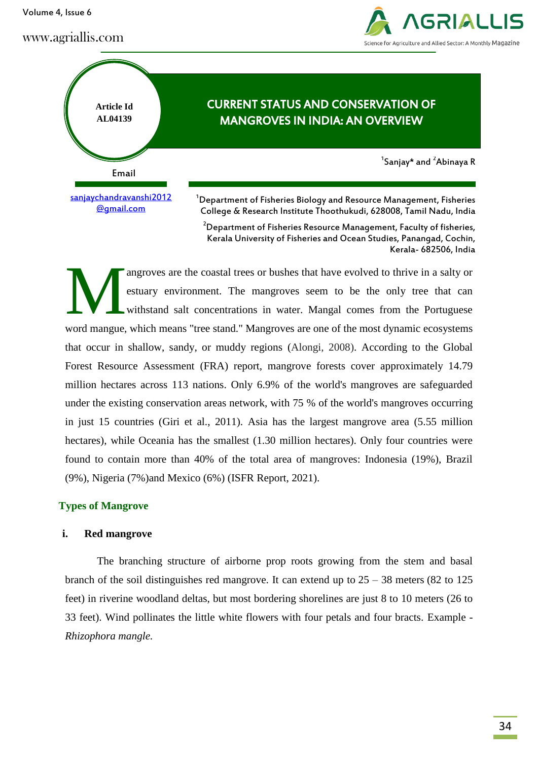Volume 4, Issue 6

www.agriallis.com





<sup>2</sup>Department of Fisheries Resource Management, Faculty of fisheries, Kerala University of Fisheries and Ocean Studies, Panangad, Cochin, Kerala- 682506, India

angroves are the coastal trees or bushes that have evolved to thrive in a salty or estuary environment. The mangroves seem to be the only tree that can withstand salt concentrations in water. Mangal comes from the Portuguese word mangue, which means "tree stand." Mangroves are one of the most dynamic ecosystems that occur in shallow, sandy, or muddy regions (Alongi, 2008). According to the Global Forest Resource Assessment (FRA) report, mangrove forests cover approximately 14.79 million hectares across 113 nations. Only 6.9% of the world's mangroves are safeguarded under the existing conservation areas network, with 75 % of the world's mangroves occurring in just 15 countries (Giri et al., 2011). Asia has the largest mangrove area (5.55 million hectares), while Oceania has the smallest (1.30 million hectares). Only four countries were found to contain more than 40% of the total area of mangroves: Indonesia (19%), Brazil (9%), Nigeria (7%)and Mexico (6%) (ISFR Report, 2021). M

# **Types of Mangrove**

# **i. Red mangrove**

The branching structure of airborne prop roots growing from the stem and basal branch of the soil distinguishes red mangrove. It can extend up to  $25 - 38$  meters (82 to 125 feet) in riverine woodland deltas, but most bordering shorelines are just 8 to 10 meters (26 to 33 feet). Wind pollinates the little white flowers with four petals and four bracts. Example - *Rhizophora mangle.*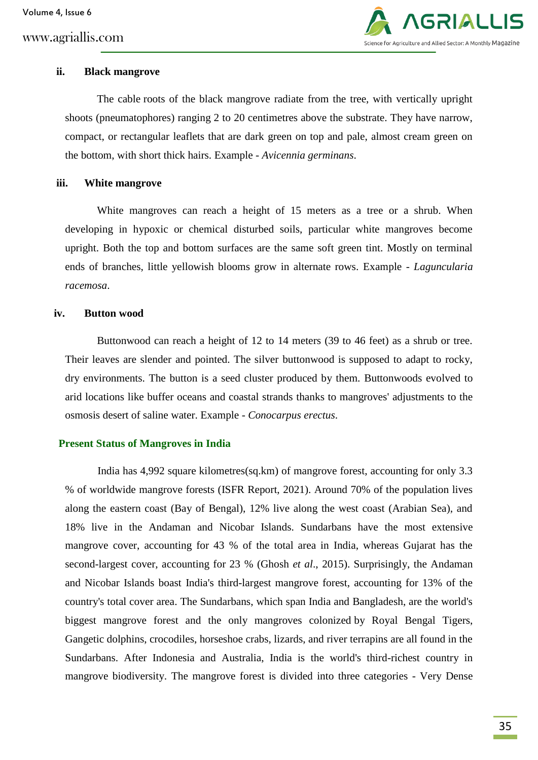www.agriallis.com



### **ii. Black mangrove**

The cable roots of the black mangrove radiate from the tree, with vertically upright shoots (pneumatophores) ranging 2 to 20 centimetres above the substrate. They have narrow, compact, or rectangular leaflets that are dark green on top and pale, almost cream green on the bottom, with short thick hairs. Example - *Avicennia germinans*.

### **iii. White mangrove**

White mangroves can reach a height of 15 meters as a tree or a shrub. When developing in hypoxic or chemical disturbed soils, particular white mangroves become upright. Both the top and bottom surfaces are the same soft green tint. Mostly on terminal ends of branches, little yellowish blooms grow in alternate rows. Example - *Laguncularia racemosa*.

#### **iv. Button wood**

Buttonwood can reach a height of 12 to 14 meters (39 to 46 feet) as a shrub or tree. Their leaves are slender and pointed. The silver buttonwood is supposed to adapt to rocky, dry environments. The button is a seed cluster produced by them. Buttonwoods evolved to arid locations like buffer oceans and coastal strands thanks to mangroves' adjustments to the osmosis desert of saline water. Example - *Conocarpus erectus*.

### **Present Status of Mangroves in India**

India has 4,992 square kilometres(sq.km) of mangrove forest, accounting for only 3.3 % of worldwide mangrove forests (ISFR Report, 2021). Around 70% of the population lives along the eastern coast (Bay of Bengal), 12% live along the west coast (Arabian Sea), and 18% live in the Andaman and Nicobar Islands. Sundarbans have the most extensive mangrove cover, accounting for 43 % of the total area in India, whereas Gujarat has the second-largest cover, accounting for 23 % (Ghosh *et al*., 2015). Surprisingly, the Andaman and Nicobar Islands boast India's third-largest mangrove forest, accounting for 13% of the country's total cover area. The Sundarbans, which span India and Bangladesh, are the world's biggest mangrove forest and the only mangroves colonized by Royal Bengal Tigers, Gangetic dolphins, crocodiles, horseshoe crabs, lizards, and river terrapins are all found in the Sundarbans. After Indonesia and Australia, India is the world's third-richest country in mangrove biodiversity. The mangrove forest is divided into three categories - Very Dense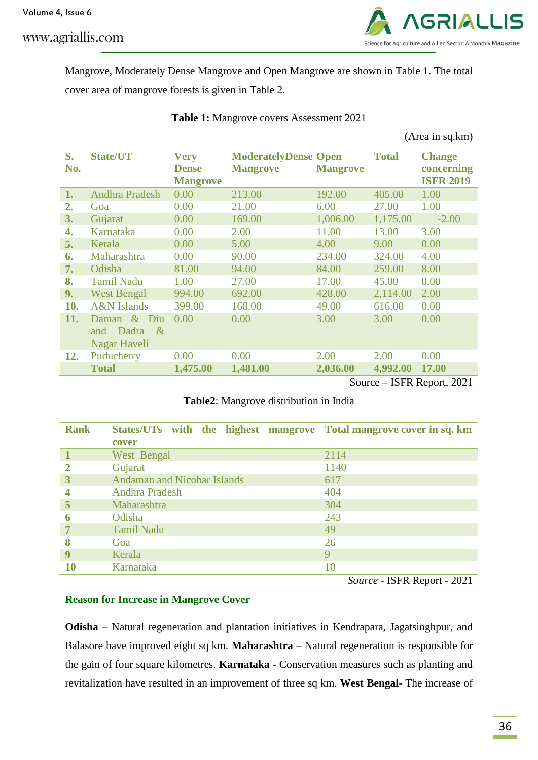www.agriallis.com



Mangrove, Moderately Dense Mangrove and Open Mangrove are shown in Table 1. The total cover area of mangrove forests is given in Table 2.

|           |                                                          |                                                |                                                |                 |              | (Area in sq.km)                                 |
|-----------|----------------------------------------------------------|------------------------------------------------|------------------------------------------------|-----------------|--------------|-------------------------------------------------|
| S.<br>No. | <b>State/UT</b>                                          | <b>Very</b><br><b>Dense</b><br><b>Mangrove</b> | <b>ModeratelyDense Open</b><br><b>Mangrove</b> | <b>Mangrove</b> | <b>Total</b> | <b>Change</b><br>concerning<br><b>ISFR 2019</b> |
| 1.        | <b>Andhra Pradesh</b>                                    | 0.00                                           | 213.00                                         | 192.00          | 405.00       | 1.00                                            |
| 2.        | Goa                                                      | 0.00                                           | 21.00                                          | 6.00            | 27.00        | 1.00                                            |
| 3.        | Gujarat                                                  | 0.00                                           | 169.00                                         | 1,006.00        | 1,175.00     | $-2.00$                                         |
| 4.        | Karnataka                                                | 0.00                                           | 2.00                                           | 11.00           | 13.00        | 3.00                                            |
| 5.        | Kerala                                                   | 0.00                                           | 5.00                                           | 4.00            | 9.00         | 0.00                                            |
| 6.        | Maharashtra                                              | 0.00                                           | 90.00                                          | 234.00          | 324.00       | 4.00                                            |
| 7.        | Odisha                                                   | 81.00                                          | 94.00                                          | 84.00           | 259.00       | 8.00                                            |
| 8.        | <b>Tamil Nadu</b>                                        | 1.00                                           | 27.00                                          | 17.00           | 45.00        | 0.00                                            |
| 9.        | <b>West Bengal</b>                                       | 994.00                                         | 692.00                                         | 428.00          | 2,114.00     | 2.00                                            |
| 10.       | <b>A&amp;N</b> Islands                                   | 399.00                                         | 168.00                                         | 49.00           | 616.00       | 0.00                                            |
| 11.       | $&$ Diu<br>Daman<br>Dadra<br>$\&$<br>and<br>Nagar Haveli | 0.00                                           | 0.00                                           | 3.00            | 3.00         | 0.00                                            |
| 12.       | Puducherry                                               | 0.00                                           | 0.00                                           | 2.00            | 2.00         | 0.00                                            |
|           | <b>Total</b>                                             | 1,475.00                                       | 1,481.00                                       | 2,036.00        | 4,992.00     | 17.00                                           |

**Table 1:** Mangrove covers Assessment 2021

Source – ISFR Report, 2021

# **Table2**: Mangrove distribution in India

| <b>Rank</b> | States/UTs with the highest mangrove Total mangrove cover in sq. km<br>cover |      |
|-------------|------------------------------------------------------------------------------|------|
|             | West Bengal                                                                  | 2114 |
| 2           | Gujarat                                                                      | 1140 |
| 3           | <b>Andaman and Nicobar Islands</b>                                           | 617  |
|             | <b>Andhra Pradesh</b>                                                        | 404  |
| 5           | Maharashtra                                                                  | 304  |
| 6           | Odisha                                                                       | 243  |
|             | <b>Tamil Nadu</b>                                                            | 49   |
| 8           | Goa                                                                          | 26   |
| q           | Kerala                                                                       | 9    |
| 10          | Karnataka                                                                    | 10   |

*Source* - ISFR Report - 2021

## **Reason for Increase in Mangrove Cover**

**Odisha** – Natural regeneration and plantation initiatives in Kendrapara, Jagatsinghpur, and Balasore have improved eight sq km. **Maharashtra** – Natural regeneration is responsible for the gain of four square kilometres. **Karnataka** - Conservation measures such as planting and revitalization have resulted in an improvement of three sq km. **West Bengal**- The increase of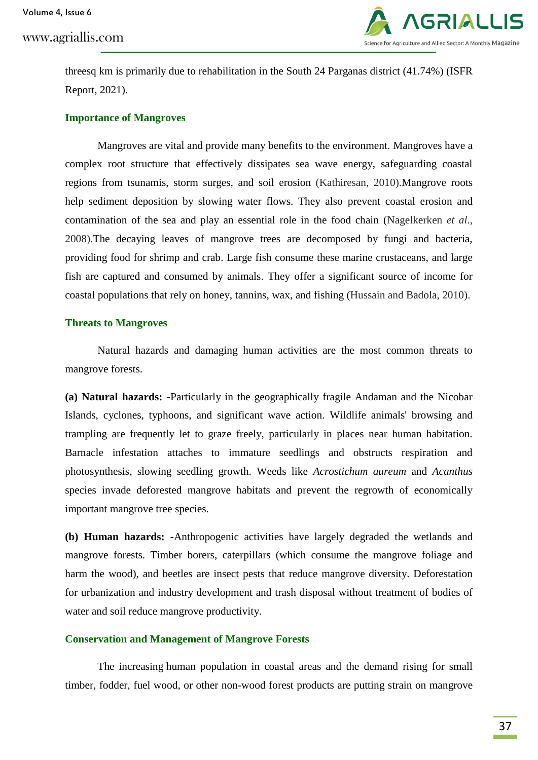Volume 4, Issue 6

www.agriallis.com



threesq km is primarily due to rehabilitation in the South 24 Parganas district (41.74%) (ISFR Report, 2021).

#### **Importance of Mangroves**

Mangroves are vital and provide many benefits to the environment. Mangroves have a complex root structure that effectively dissipates sea wave energy, safeguarding coastal regions from tsunamis, storm surges, and soil erosion (Kathiresan, 2010).Mangrove roots help sediment deposition by slowing water flows. They also prevent coastal erosion and contamination of the sea and play an essential role in the food chain (Nagelkerken *et al*., 2008).The decaying leaves of mangrove trees are decomposed by fungi and bacteria, providing food for shrimp and crab. Large fish consume these marine crustaceans, and large fish are captured and consumed by animals. They offer a significant source of income for coastal populations that rely on honey, tannins, wax, and fishing (Hussain and Badola, 2010).

#### **Threats to Mangroves**

Natural hazards and damaging human activities are the most common threats to mangrove forests.

**(a) Natural hazards: -**Particularly in the geographically fragile Andaman and the Nicobar Islands, cyclones, typhoons, and significant wave action. Wildlife animals' browsing and trampling are frequently let to graze freely, particularly in places near human habitation. Barnacle infestation attaches to immature seedlings and obstructs respiration and photosynthesis, slowing seedling growth. Weeds like *Acrostichum aureum* and *Acanthus* species invade deforested mangrove habitats and prevent the regrowth of economically important mangrove tree species.

**(b) Human hazards: -**Anthropogenic activities have largely degraded the wetlands and mangrove forests. Timber borers, caterpillars (which consume the mangrove foliage and harm the wood), and beetles are insect pests that reduce mangrove diversity. Deforestation for urbanization and industry development and trash disposal without treatment of bodies of water and soil reduce mangrove productivity.

## **Conservation and Management of Mangrove Forests**

The increasing human population in coastal areas and the demand rising for small timber, fodder, fuel wood, or other non-wood forest products are putting strain on mangrove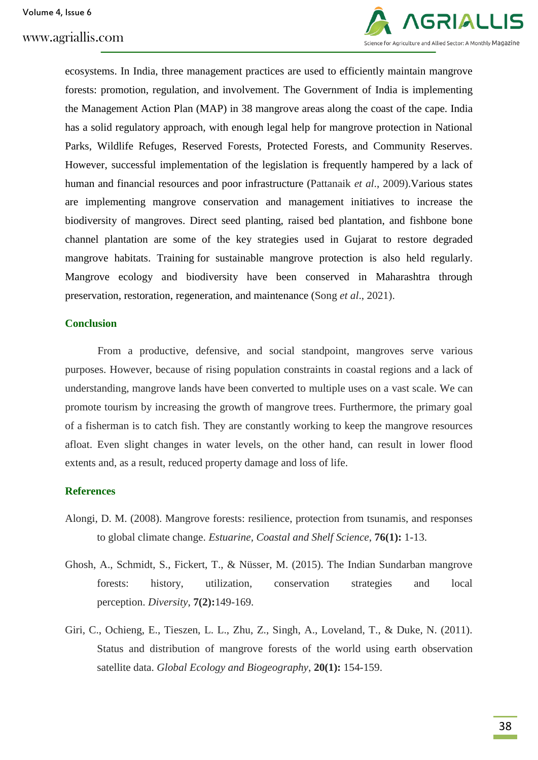

ecosystems. In India, three management practices are used to efficiently maintain mangrove forests: promotion, regulation, and involvement. The Government of India is implementing the Management Action Plan (MAP) in 38 mangrove areas along the coast of the cape. India has a solid regulatory approach, with enough legal help for mangrove protection in National Parks, Wildlife Refuges, Reserved Forests, Protected Forests, and Community Reserves. However, successful implementation of the legislation is frequently hampered by a lack of human and financial resources and poor infrastructure (Pattanaik *et al*., 2009).Various states are implementing mangrove conservation and management initiatives to increase the biodiversity of mangroves. Direct seed planting, raised bed plantation, and fishbone bone channel plantation are some of the key strategies used in Gujarat to restore degraded mangrove habitats. Training for sustainable mangrove protection is also held regularly. Mangrove ecology and biodiversity have been conserved in Maharashtra through preservation, restoration, regeneration, and maintenance (Song *et al*., 2021).

#### **Conclusion**

From a productive, defensive, and social standpoint, mangroves serve various purposes. However, because of rising population constraints in coastal regions and a lack of understanding, mangrove lands have been converted to multiple uses on a vast scale. We can promote tourism by increasing the growth of mangrove trees. Furthermore, the primary goal of a fisherman is to catch fish. They are constantly working to keep the mangrove resources afloat. Even slight changes in water levels, on the other hand, can result in lower flood extents and, as a result, reduced property damage and loss of life.

### **References**

- Alongi, D. M. (2008). Mangrove forests: resilience, protection from tsunamis, and responses to global climate change. *Estuarine, Coastal and Shelf Science*, **76(1):** 1-13.
- Ghosh, A., Schmidt, S., Fickert, T., & Nüsser, M. (2015). The Indian Sundarban mangrove forests: history, utilization, conservation strategies and local perception. *Diversity*, **7(2):**149-169.
- Giri, C., Ochieng, E., Tieszen, L. L., Zhu, Z., Singh, A., Loveland, T., & Duke, N. (2011). Status and distribution of mangrove forests of the world using earth observation satellite data. *Global Ecology and Biogeography*, **20(1):** 154-159.